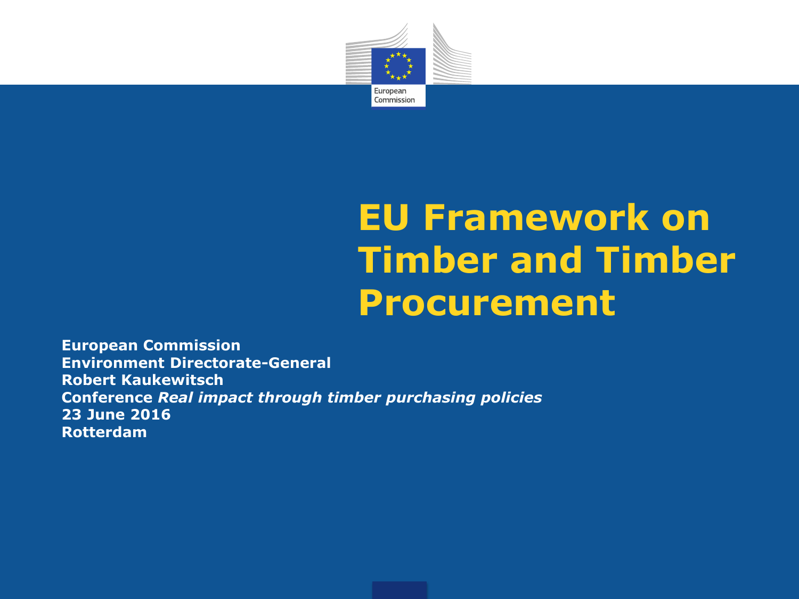

## **EU Framework on Timber and Timber Procurement**

**European Commission Environment Directorate-General Robert Kaukewitsch Conference** *Real impact through timber purchasing policies* **23 June 2016 Rotterdam**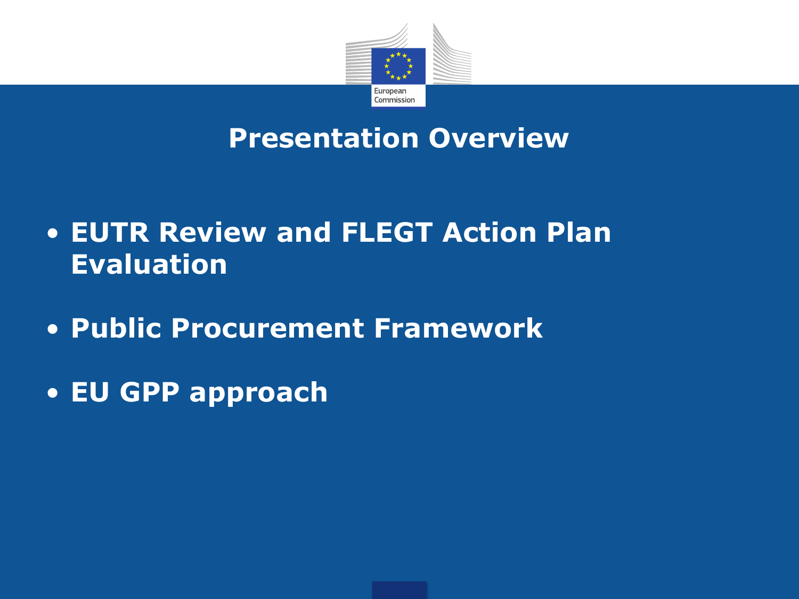

#### **Presentation Overview**

- **EUTR Review and FLEGT Action Plan Evaluation**
- **Public Procurement Framework**
- **EU GPP approach**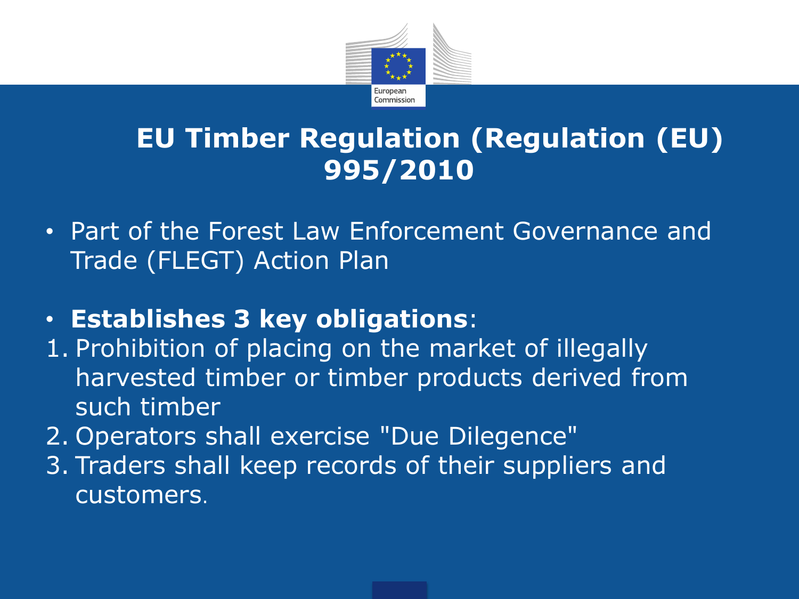

### **EU Timber Regulation (Regulation (EU) 995/2010**

- Part of the Forest Law Enforcement Governance and Trade (FLEGT) Action Plan
- **Establishes 3 key obligations**:
- 1. Prohibition of placing on the market of illegally harvested timber or timber products derived from such timber
- 2. Operators shall exercise "Due Dilegence"
- 3. Traders shall keep records of their suppliers and customers.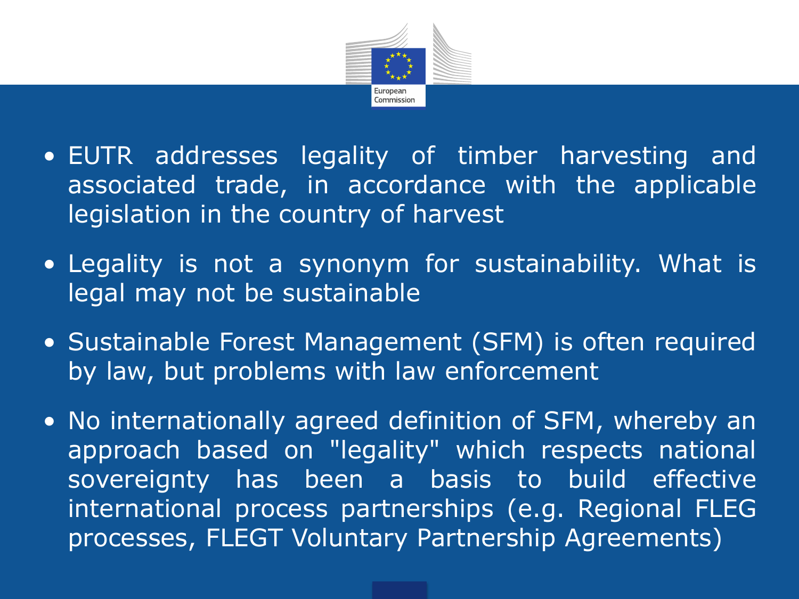

- EUTR addresses legality of timber harvesting and associated trade, in accordance with the applicable legislation in the country of harvest
- Legality is not a synonym for sustainability. What is legal may not be sustainable
- Sustainable Forest Management (SFM) is often required by law, but problems with law enforcement
- No internationally agreed definition of SFM, whereby an approach based on "legality" which respects national sovereignty has been a basis to build effective international process partnerships (e.g. Regional FLEG processes, FLEGT Voluntary Partnership Agreements)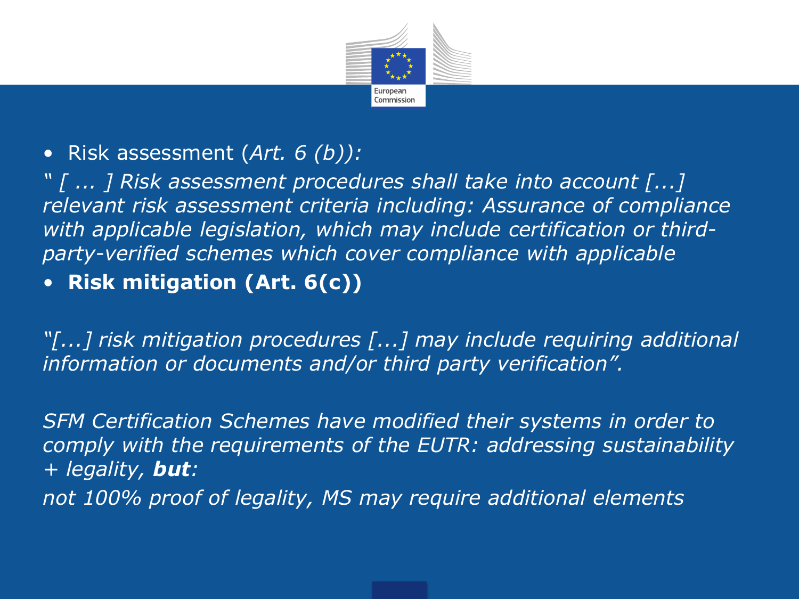

#### • Risk assessment (*Art. 6 (b)):*

*" [ ... ] Risk assessment procedures shall take into account [...] relevant risk assessment criteria including: Assurance of compliance with applicable legislation, which may include certification or thirdparty-verified schemes which cover compliance with applicable* 

#### • **Risk mitigation (Art. 6(c))**

*"[...] risk mitigation procedures [...] may include requiring additional information or documents and/or third party verification".* 

*SFM Certification Schemes have modified their systems in order to comply with the requirements of the EUTR: addressing sustainability + legality, but: not 100% proof of legality, MS may require additional elements*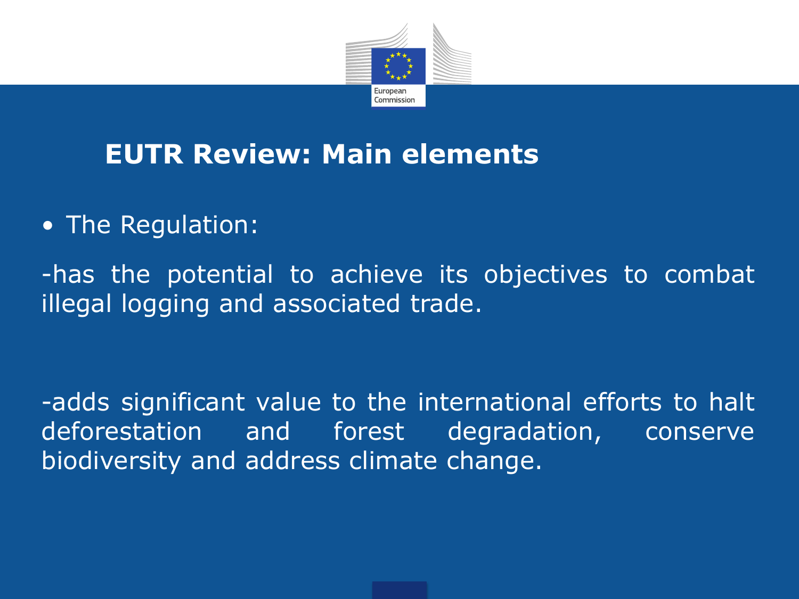

### **EUTR Review: Main elements**

• The Regulation:

-has the potential to achieve its objectives to combat illegal logging and associated trade.

-adds significant value to the international efforts to halt deforestation and forest degradation, conserve biodiversity and address climate change.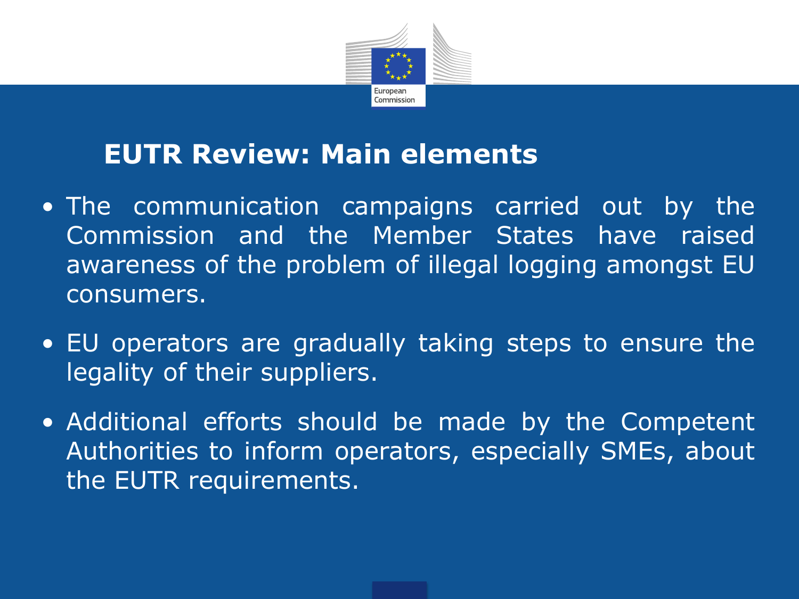

#### **EUTR Review: Main elements**

- The communication campaigns carried out by the Commission and the Member States have raised awareness of the problem of illegal logging amongst EU consumers.
- EU operators are gradually taking steps to ensure the legality of their suppliers.
- Additional efforts should be made by the Competent Authorities to inform operators, especially SMEs, about the EUTR requirements.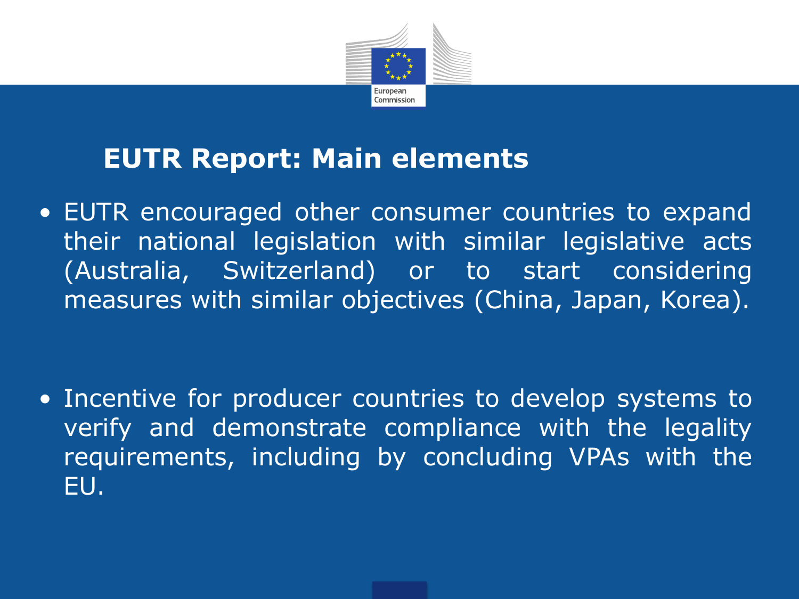

### **EUTR Report: Main elements**

• EUTR encouraged other consumer countries to expand their national legislation with similar legislative acts (Australia, Switzerland) or to start considering measures with similar objectives (China, Japan, Korea).

• Incentive for producer countries to develop systems to verify and demonstrate compliance with the legality requirements, including by concluding VPAs with the EU.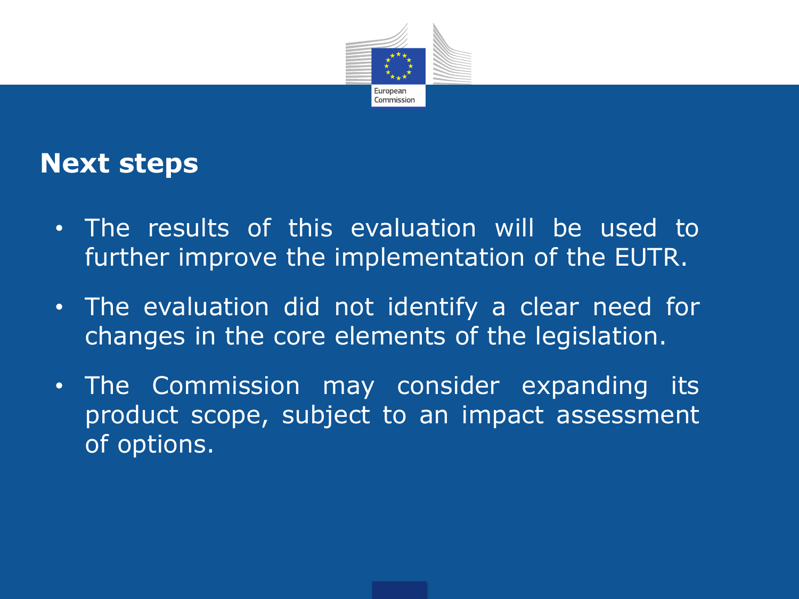

#### **Next steps**

- The results of this evaluation will be used to further improve the implementation of the EUTR.
- The evaluation did not identify a clear need for changes in the core elements of the legislation.
- The Commission may consider expanding its product scope, subject to an impact assessment of options.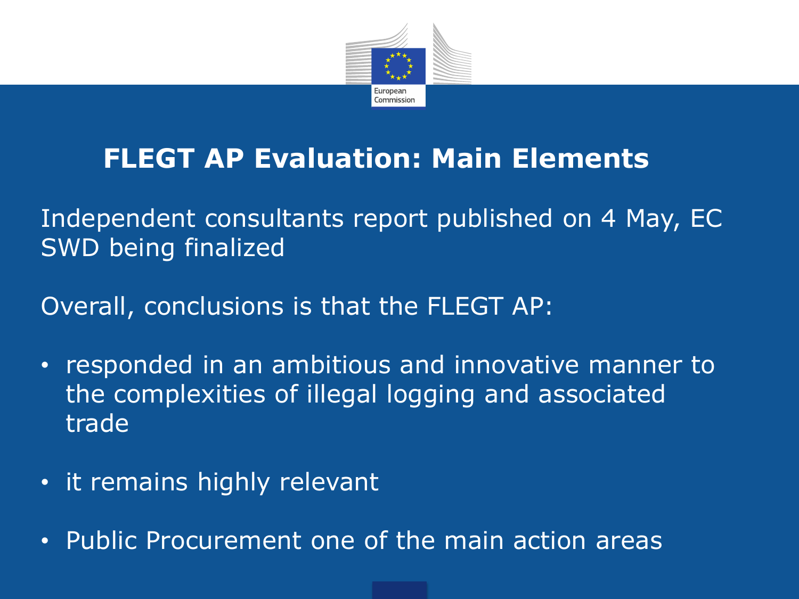

## **FLEGT AP Evaluation: Main Elements**

Independent consultants report published on 4 May, EC SWD being finalized

Overall, conclusions is that the FLEGT AP:

- responded in an ambitious and innovative manner to the complexities of illegal logging and associated trade
- it remains highly relevant
- Public Procurement one of the main action areas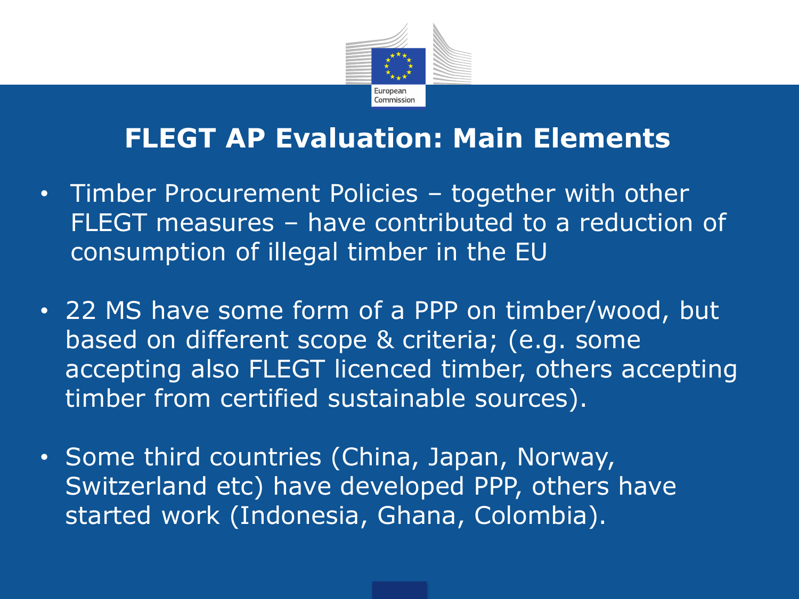

#### **FLEGT AP Evaluation: Main Elements**

- Timber Procurement Policies together with other FLEGT measures – have contributed to a reduction of consumption of illegal timber in the EU
- 22 MS have some form of a PPP on timber/wood, but based on different scope & criteria; (e.g. some accepting also FLEGT licenced timber, others accepting timber from certified sustainable sources).
- Some third countries (China, Japan, Norway, Switzerland etc) have developed PPP, others have started work (Indonesia, Ghana, Colombia).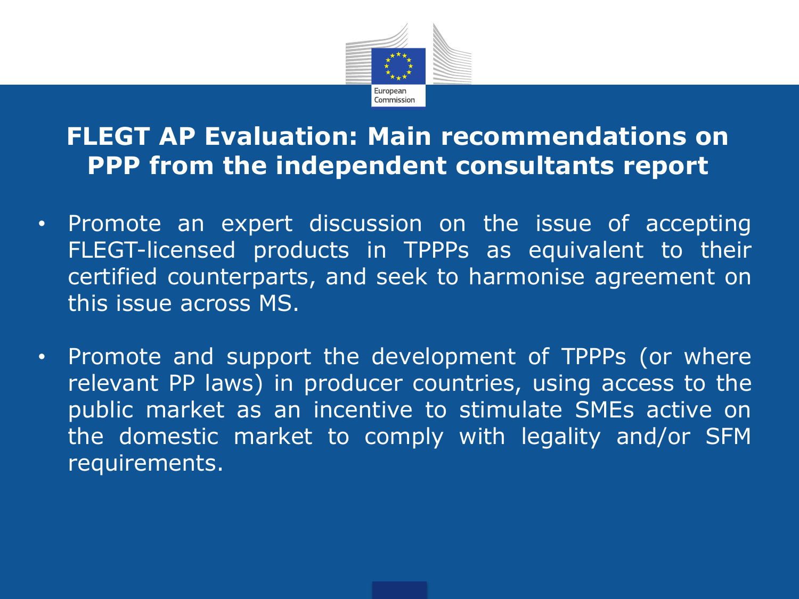

#### **FLEGT AP Evaluation: Main recommendations on PPP from the independent consultants report**

- Promote an expert discussion on the issue of accepting FLEGT-licensed products in TPPPs as equivalent to their certified counterparts, and seek to harmonise agreement on this issue across MS.
- Promote and support the development of TPPPs (or where relevant PP laws) in producer countries, using access to the public market as an incentive to stimulate SMEs active on the domestic market to comply with legality and/or SFM requirements.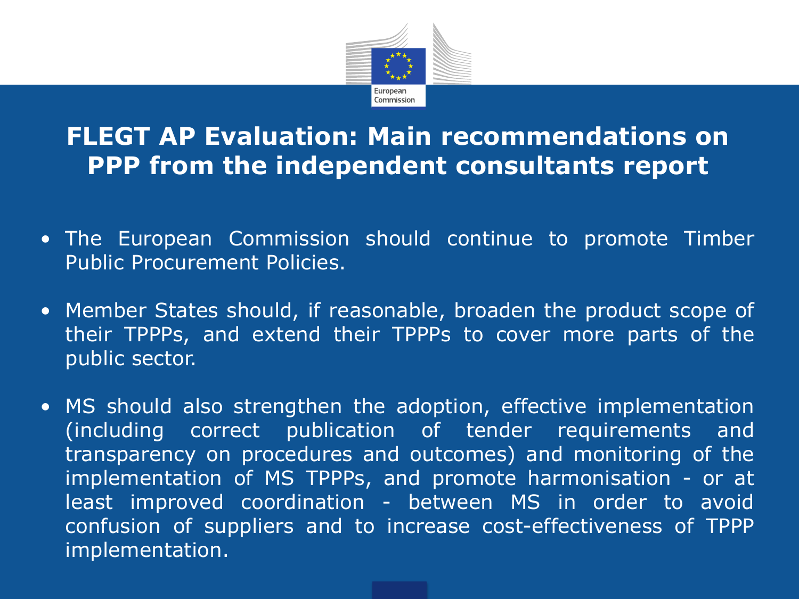

#### **FLEGT AP Evaluation: Main recommendations on PPP from the independent consultants report**

- The European Commission should continue to promote Timber Public Procurement Policies.
- Member States should, if reasonable, broaden the product scope of their TPPPs, and extend their TPPPs to cover more parts of the public sector.
- MS should also strengthen the adoption, effective implementation (including correct publication of tender requirements and transparency on procedures and outcomes) and monitoring of the implementation of MS TPPPs, and promote harmonisation - or at least improved coordination - between MS in order to avoid confusion of suppliers and to increase cost-effectiveness of TPPP implementation.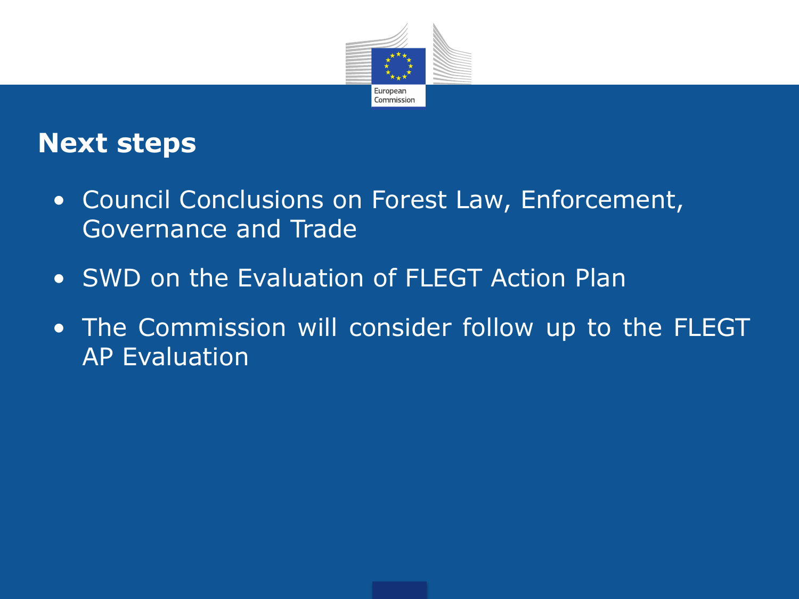

#### **Next steps**

- Council Conclusions on Forest Law, Enforcement, Governance and Trade
- SWD on the Evaluation of FLEGT Action Plan
- The Commission will consider follow up to the FLEGT AP Evaluation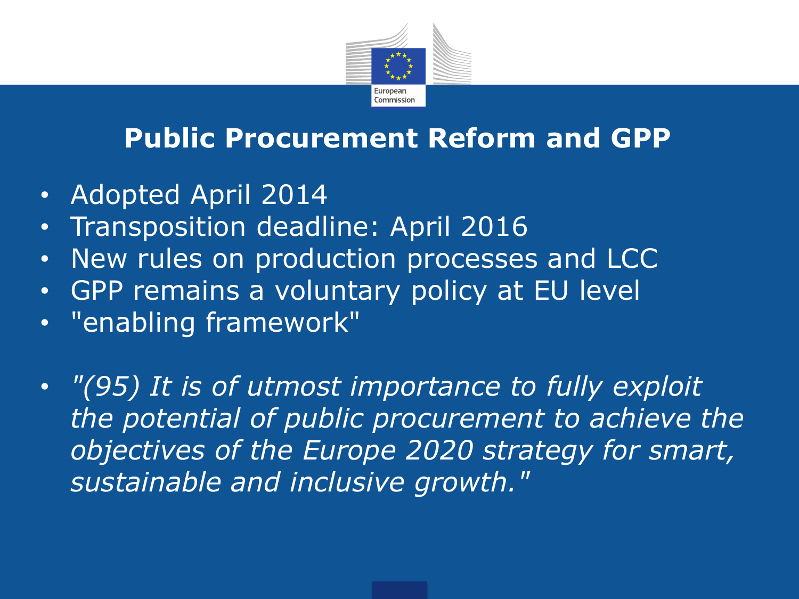

### **Public Procurement Reform and GPP**

- Adopted April 2014
- Transposition deadline: April 2016
- New rules on production processes and LCC
- GPP remains a voluntary policy at EU level
- "enabling framework"
- *"(95) It is of utmost importance to fully exploit the potential of public procurement to achieve the objectives of the Europe 2020 strategy for smart, sustainable and inclusive growth."*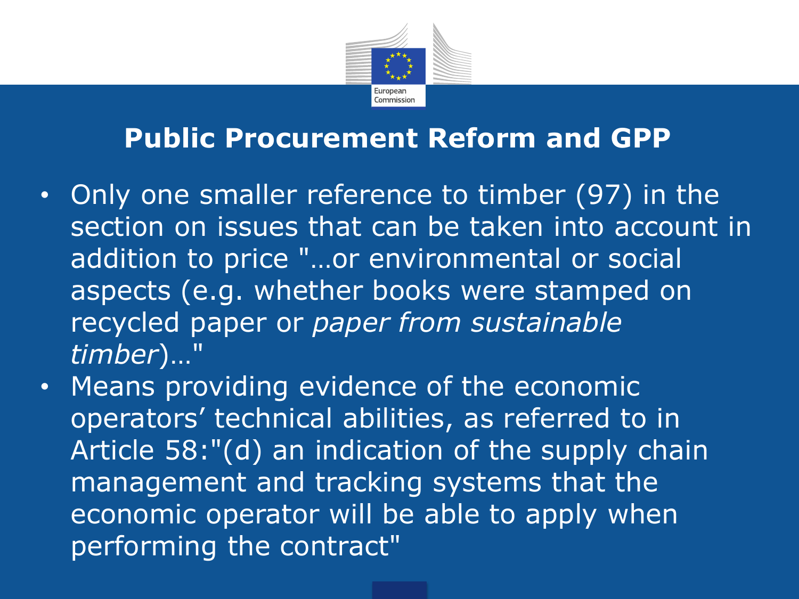

#### **Public Procurement Reform and GPP**

- Only one smaller reference to timber (97) in the section on issues that can be taken into account in addition to price "…or environmental or social aspects (e.g. whether books were stamped on recycled paper or *paper from sustainable timber*)…"
- Means providing evidence of the economic operators' technical abilities, as referred to in Article 58:"(d) an indication of the supply chain management and tracking systems that the economic operator will be able to apply when performing the contract"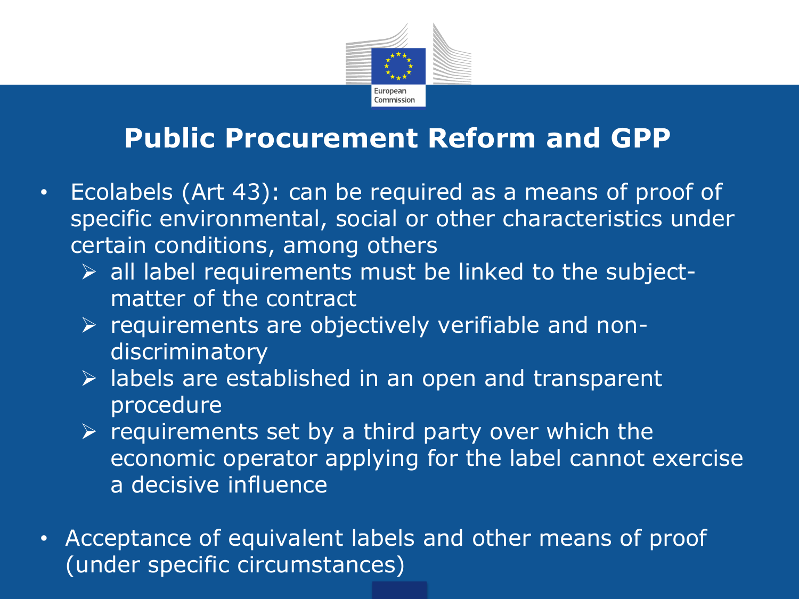

### **Public Procurement Reform and GPP**

- Ecolabels (Art 43): can be required as a means of proof of specific environmental, social or other characteristics under certain conditions, among others
	- $\triangleright$  all label requirements must be linked to the subjectmatter of the contract
	- $\triangleright$  requirements are objectively verifiable and nondiscriminatory
	- $\triangleright$  labels are established in an open and transparent procedure
	- $\triangleright$  requirements set by a third party over which the economic operator applying for the label cannot exercise a decisive influence
- Acceptance of equivalent labels and other means of proof (under specific circumstances)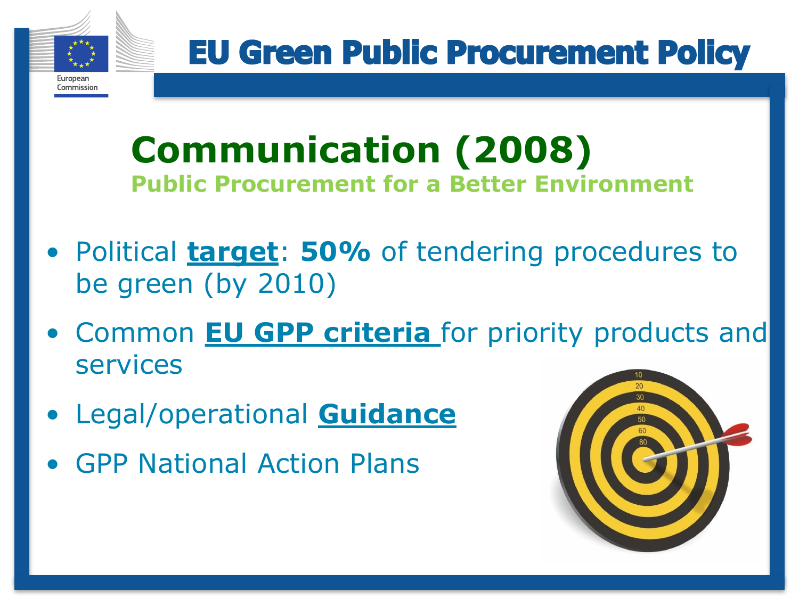

**EU Green Public Procurement Policy** 

## **Communication (2008) Public Procurement for a Better Environment**

- Political **target**: **50%** of tendering procedures to be green (by 2010)
- Common **EU GPP criteria** for priority products and services
- Legal/operational **Guidance**
- GPP National Action Plans

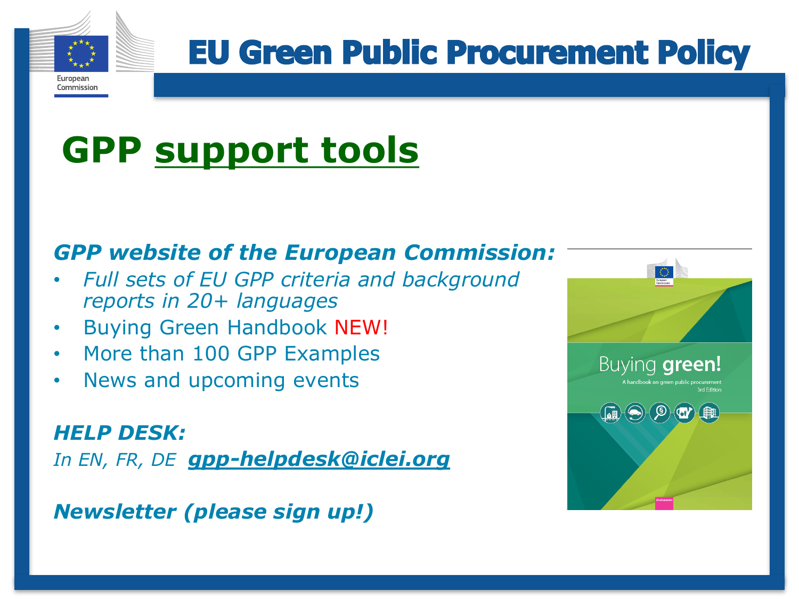

Commission

# **GPP support tools**

#### *GPP website of the European Commission:*

- *Full sets of EU GPP criteria and background reports in 20+ languages*
- Buying Green Handbook NEW!
- More than 100 GPP Examples
- News and upcoming events

*HELP DESK: In EN, FR, DE gpp-helpdesk@iclei.org*

*Newsletter (please sign up!)*

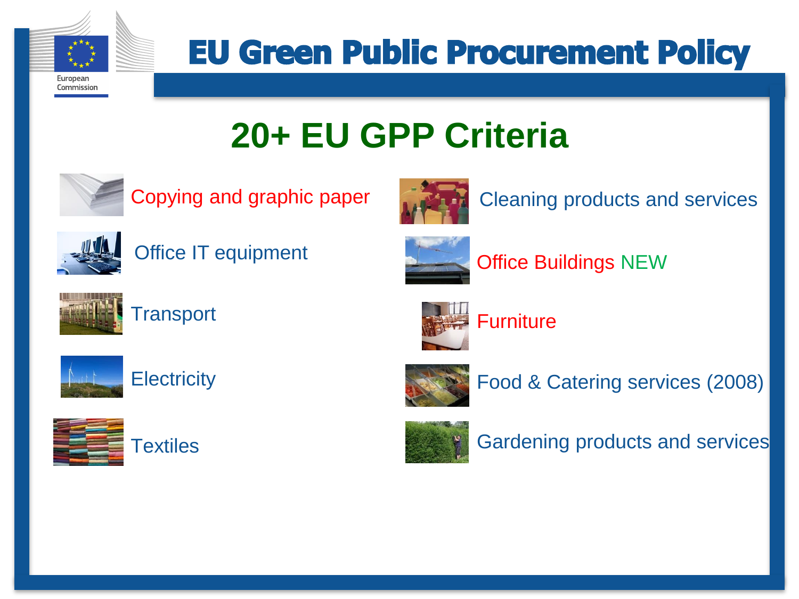

Commission

**EU Green Public Procurement Policy** 

# **20+ EU GPP Criteria**



Copying and graphic paper **Copying and services** 







Office Buildings NEW

**Furniture** 



**Transport** 



**Electricity** 



**Textiles** 



Food & Catering services (2008)



Gardening products and services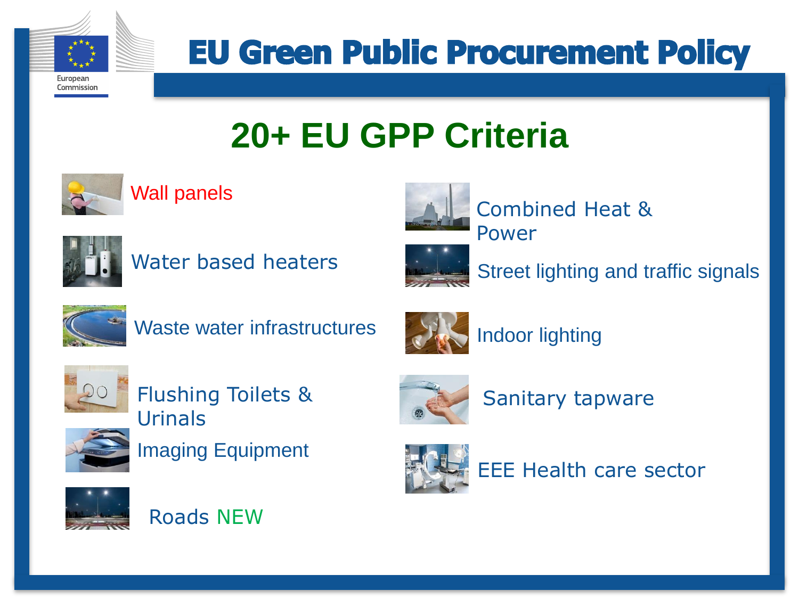

Commission

**EU Green Public Procurement Policy** 

## **20+ EU GPP Criteria**







Water based heaters



Combined Heat & Power



Street lighting and traffic signals



Waste water infrastructures



Indoor lighting



Flushing Toilets & Urinals







Sanitary tapware



EEE Health care sector



Roads NEW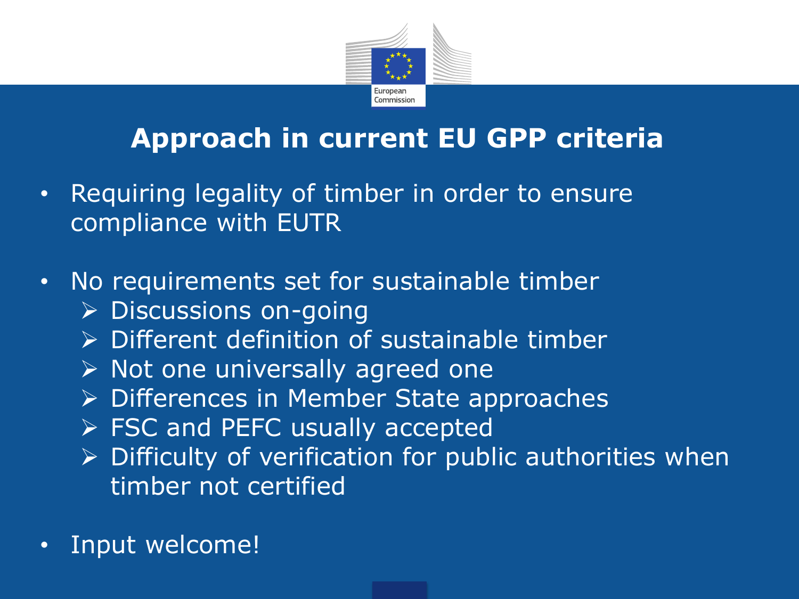

### **Approach in current EU GPP criteria**

- Requiring legality of timber in order to ensure compliance with EUTR
- No requirements set for sustainable timber
	- $\triangleright$  Discussions on-going
	- $\triangleright$  Different definition of sustainable timber
	- $\triangleright$  Not one universally agreed one
	- $\triangleright$  Differences in Member State approaches
	- $\triangleright$  FSC and PEFC usually accepted
	- $\triangleright$  Difficulty of verification for public authorities when timber not certified
- Input welcome!